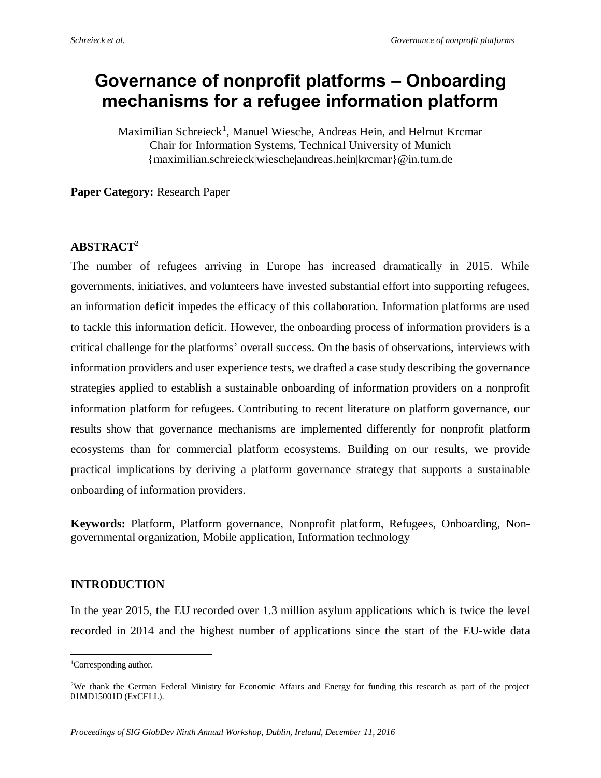# **Governance of nonprofit platforms – Onboarding mechanisms for a refugee information platform**

Maximilian Schreieck<sup>1</sup>, Manuel Wiesche, Andreas Hein, and Helmut Krcmar Chair for Information Systems, Technical University of Munich {maximilian.schreieck|wiesche|andreas.hein|krcmar}@in.tum.de

**Paper Category:** Research Paper

## **ABSTRACT<sup>2</sup>**

The number of refugees arriving in Europe has increased dramatically in 2015. While governments, initiatives, and volunteers have invested substantial effort into supporting refugees, an information deficit impedes the efficacy of this collaboration. Information platforms are used to tackle this information deficit. However, the onboarding process of information providers is a critical challenge for the platforms' overall success. On the basis of observations, interviews with information providers and user experience tests, we drafted a case study describing the governance strategies applied to establish a sustainable onboarding of information providers on a nonprofit information platform for refugees. Contributing to recent literature on platform governance, our results show that governance mechanisms are implemented differently for nonprofit platform ecosystems than for commercial platform ecosystems. Building on our results, we provide practical implications by deriving a platform governance strategy that supports a sustainable onboarding of information providers.

**Keywords:** Platform, Platform governance, Nonprofit platform, Refugees, Onboarding, Nongovernmental organization, Mobile application, Information technology

## **INTRODUCTION**

In the year 2015, the EU recorded over 1.3 million asylum applications which is twice the level recorded in 2014 and the highest number of applications since the start of the EU-wide data

 $\overline{a}$ 

<sup>&</sup>lt;sup>1</sup>Corresponding author.

<sup>2</sup>We thank the German Federal Ministry for Economic Affairs and Energy for funding this research as part of the project 01MD15001D (ExCELL).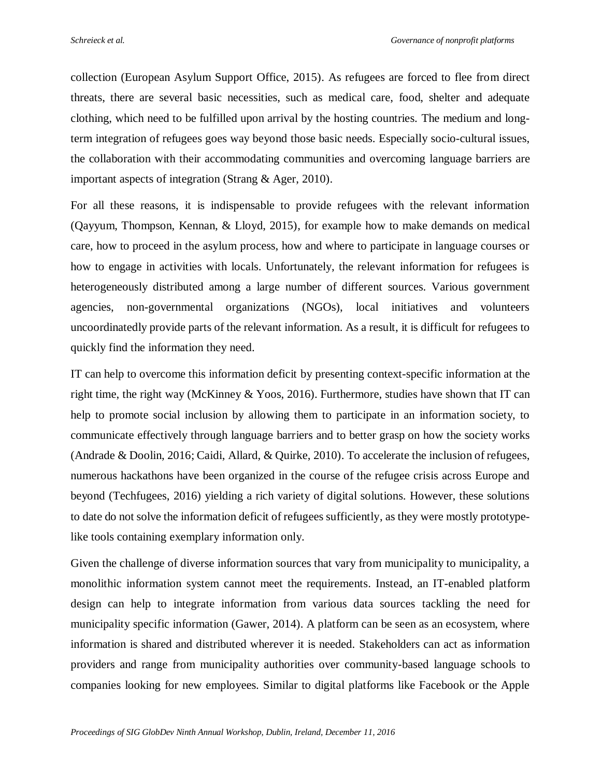collection (European Asylum Support Office, 2015). As refugees are forced to flee from direct threats, there are several basic necessities, such as medical care, food, shelter and adequate clothing, which need to be fulfilled upon arrival by the hosting countries. The medium and longterm integration of refugees goes way beyond those basic needs. Especially socio-cultural issues, the collaboration with their accommodating communities and overcoming language barriers are important aspects of integration (Strang & Ager, 2010).

For all these reasons, it is indispensable to provide refugees with the relevant information (Qayyum, Thompson, Kennan, & Lloyd, 2015), for example how to make demands on medical care, how to proceed in the asylum process, how and where to participate in language courses or how to engage in activities with locals. Unfortunately, the relevant information for refugees is heterogeneously distributed among a large number of different sources. Various government agencies, non-governmental organizations (NGOs), local initiatives and volunteers uncoordinatedly provide parts of the relevant information. As a result, it is difficult for refugees to quickly find the information they need.

IT can help to overcome this information deficit by presenting context-specific information at the right time, the right way (McKinney & Yoos, 2016). Furthermore, studies have shown that IT can help to promote social inclusion by allowing them to participate in an information society, to communicate effectively through language barriers and to better grasp on how the society works (Andrade & Doolin, 2016; Caidi, Allard, & Quirke, 2010). To accelerate the inclusion of refugees, numerous hackathons have been organized in the course of the refugee crisis across Europe and beyond (Techfugees, 2016) yielding a rich variety of digital solutions. However, these solutions to date do not solve the information deficit of refugees sufficiently, as they were mostly prototypelike tools containing exemplary information only.

Given the challenge of diverse information sources that vary from municipality to municipality, a monolithic information system cannot meet the requirements. Instead, an IT-enabled platform design can help to integrate information from various data sources tackling the need for municipality specific information (Gawer, 2014). A platform can be seen as an ecosystem, where information is shared and distributed wherever it is needed. Stakeholders can act as information providers and range from municipality authorities over community-based language schools to companies looking for new employees. Similar to digital platforms like Facebook or the Apple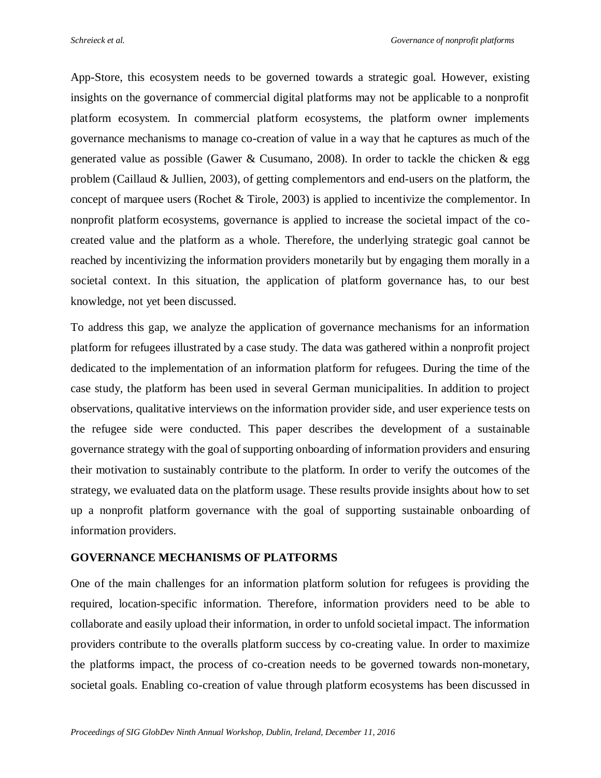App-Store, this ecosystem needs to be governed towards a strategic goal. However, existing insights on the governance of commercial digital platforms may not be applicable to a nonprofit platform ecosystem. In commercial platform ecosystems, the platform owner implements governance mechanisms to manage co-creation of value in a way that he captures as much of the generated value as possible (Gawer & Cusumano, 2008). In order to tackle the chicken & egg problem (Caillaud & Jullien, 2003), of getting complementors and end-users on the platform, the concept of marquee users (Rochet & Tirole, 2003) is applied to incentivize the complementor. In nonprofit platform ecosystems, governance is applied to increase the societal impact of the cocreated value and the platform as a whole. Therefore, the underlying strategic goal cannot be reached by incentivizing the information providers monetarily but by engaging them morally in a societal context. In this situation, the application of platform governance has, to our best knowledge, not yet been discussed.

To address this gap, we analyze the application of governance mechanisms for an information platform for refugees illustrated by a case study. The data was gathered within a nonprofit project dedicated to the implementation of an information platform for refugees. During the time of the case study, the platform has been used in several German municipalities. In addition to project observations, qualitative interviews on the information provider side, and user experience tests on the refugee side were conducted. This paper describes the development of a sustainable governance strategy with the goal of supporting onboarding of information providers and ensuring their motivation to sustainably contribute to the platform. In order to verify the outcomes of the strategy, we evaluated data on the platform usage. These results provide insights about how to set up a nonprofit platform governance with the goal of supporting sustainable onboarding of information providers.

## **GOVERNANCE MECHANISMS OF PLATFORMS**

One of the main challenges for an information platform solution for refugees is providing the required, location-specific information. Therefore, information providers need to be able to collaborate and easily upload their information, in order to unfold societal impact. The information providers contribute to the overalls platform success by co-creating value. In order to maximize the platforms impact, the process of co-creation needs to be governed towards non-monetary, societal goals. Enabling co-creation of value through platform ecosystems has been discussed in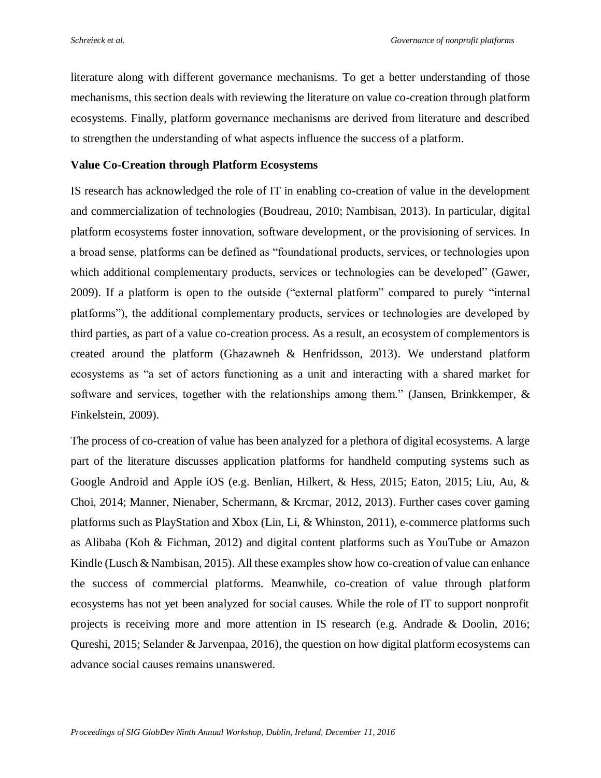literature along with different governance mechanisms. To get a better understanding of those mechanisms, this section deals with reviewing the literature on value co-creation through platform ecosystems. Finally, platform governance mechanisms are derived from literature and described to strengthen the understanding of what aspects influence the success of a platform.

#### **Value Co-Creation through Platform Ecosystems**

IS research has acknowledged the role of IT in enabling co-creation of value in the development and commercialization of technologies (Boudreau, 2010; Nambisan, 2013). In particular, digital platform ecosystems foster innovation, software development, or the provisioning of services. In a broad sense, platforms can be defined as "foundational products, services, or technologies upon which additional complementary products, services or technologies can be developed" (Gawer, 2009). If a platform is open to the outside ("external platform" compared to purely "internal platforms"), the additional complementary products, services or technologies are developed by third parties, as part of a value co-creation process. As a result, an ecosystem of complementors is created around the platform (Ghazawneh & Henfridsson, 2013). We understand platform ecosystems as "a set of actors functioning as a unit and interacting with a shared market for software and services, together with the relationships among them." (Jansen, Brinkkemper, & Finkelstein, 2009).

The process of co-creation of value has been analyzed for a plethora of digital ecosystems. A large part of the literature discusses application platforms for handheld computing systems such as Google Android and Apple iOS (e.g. Benlian, Hilkert, & Hess, 2015; Eaton, 2015; Liu, Au, & Choi, 2014; Manner, Nienaber, Schermann, & Krcmar, 2012, 2013). Further cases cover gaming platforms such as PlayStation and Xbox (Lin, Li, & Whinston, 2011), e-commerce platforms such as Alibaba (Koh & Fichman, 2012) and digital content platforms such as YouTube or Amazon Kindle (Lusch & Nambisan, 2015). All these examples show how co-creation of value can enhance the success of commercial platforms. Meanwhile, co-creation of value through platform ecosystems has not yet been analyzed for social causes. While the role of IT to support nonprofit projects is receiving more and more attention in IS research (e.g. Andrade & Doolin, 2016; Qureshi, 2015; Selander & Jarvenpaa, 2016), the question on how digital platform ecosystems can advance social causes remains unanswered.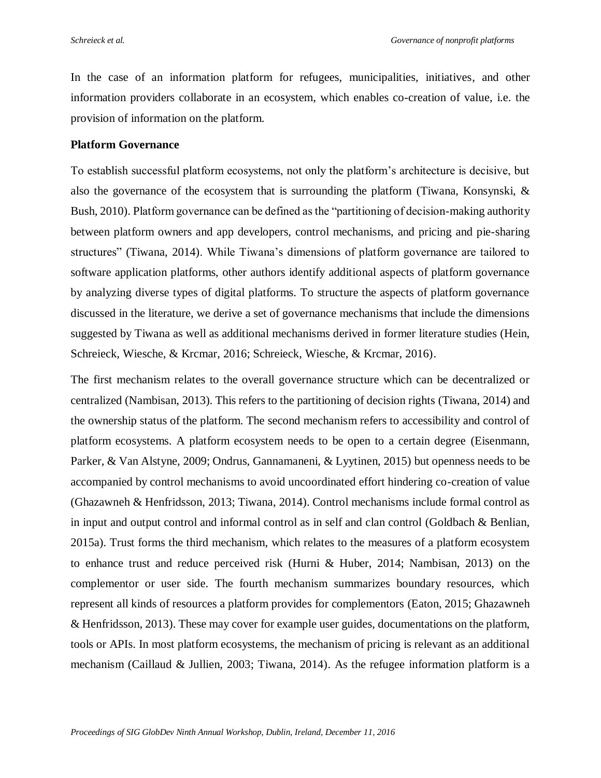In the case of an information platform for refugees, municipalities, initiatives, and other information providers collaborate in an ecosystem, which enables co-creation of value, i.e. the provision of information on the platform.

#### **Platform Governance**

To establish successful platform ecosystems, not only the platform's architecture is decisive, but also the governance of the ecosystem that is surrounding the platform (Tiwana, Konsynski, & Bush, 2010). Platform governance can be defined as the "partitioning of decision-making authority between platform owners and app developers, control mechanisms, and pricing and pie-sharing structures" (Tiwana, 2014). While Tiwana's dimensions of platform governance are tailored to software application platforms, other authors identify additional aspects of platform governance by analyzing diverse types of digital platforms. To structure the aspects of platform governance discussed in the literature, we derive a set of governance mechanisms that include the dimensions suggested by Tiwana as well as additional mechanisms derived in former literature studies (Hein, Schreieck, Wiesche, & Krcmar, 2016; Schreieck, Wiesche, & Krcmar, 2016).

The first mechanism relates to the overall governance structure which can be decentralized or centralized (Nambisan, 2013). This refers to the partitioning of decision rights (Tiwana, 2014) and the ownership status of the platform. The second mechanism refers to accessibility and control of platform ecosystems. A platform ecosystem needs to be open to a certain degree (Eisenmann, Parker, & Van Alstyne, 2009; Ondrus, Gannamaneni, & Lyytinen, 2015) but openness needs to be accompanied by control mechanisms to avoid uncoordinated effort hindering co-creation of value (Ghazawneh & Henfridsson, 2013; Tiwana, 2014). Control mechanisms include formal control as in input and output control and informal control as in self and clan control (Goldbach & Benlian, 2015a). Trust forms the third mechanism, which relates to the measures of a platform ecosystem to enhance trust and reduce perceived risk (Hurni & Huber, 2014; Nambisan, 2013) on the complementor or user side. The fourth mechanism summarizes boundary resources, which represent all kinds of resources a platform provides for complementors (Eaton, 2015; Ghazawneh & Henfridsson, 2013). These may cover for example user guides, documentations on the platform, tools or APIs. In most platform ecosystems, the mechanism of pricing is relevant as an additional mechanism (Caillaud & Jullien, 2003; Tiwana, 2014). As the refugee information platform is a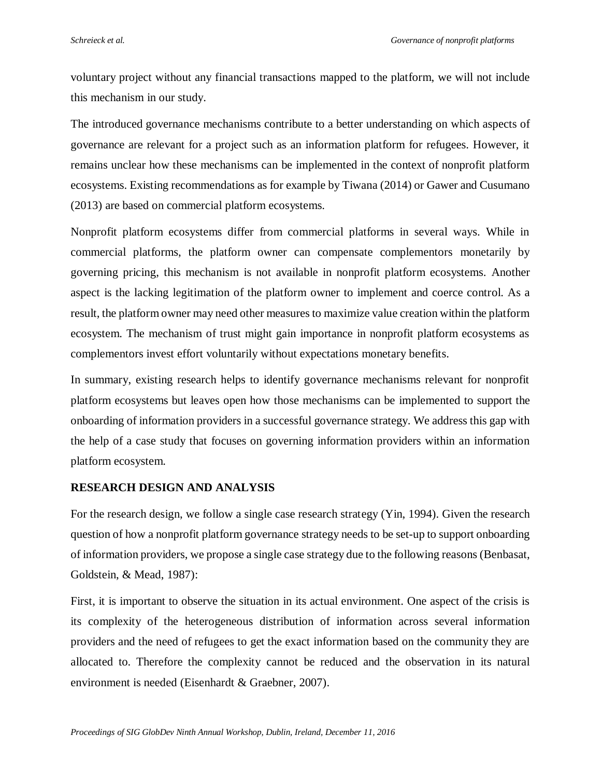voluntary project without any financial transactions mapped to the platform, we will not include this mechanism in our study.

The introduced governance mechanisms contribute to a better understanding on which aspects of governance are relevant for a project such as an information platform for refugees. However, it remains unclear how these mechanisms can be implemented in the context of nonprofit platform ecosystems. Existing recommendations as for example by Tiwana (2014) or Gawer and Cusumano (2013) are based on commercial platform ecosystems.

Nonprofit platform ecosystems differ from commercial platforms in several ways. While in commercial platforms, the platform owner can compensate complementors monetarily by governing pricing, this mechanism is not available in nonprofit platform ecosystems. Another aspect is the lacking legitimation of the platform owner to implement and coerce control. As a result, the platform owner may need other measures to maximize value creation within the platform ecosystem. The mechanism of trust might gain importance in nonprofit platform ecosystems as complementors invest effort voluntarily without expectations monetary benefits.

In summary, existing research helps to identify governance mechanisms relevant for nonprofit platform ecosystems but leaves open how those mechanisms can be implemented to support the onboarding of information providers in a successful governance strategy. We address this gap with the help of a case study that focuses on governing information providers within an information platform ecosystem.

## **RESEARCH DESIGN AND ANALYSIS**

For the research design, we follow a single case research strategy (Yin, 1994). Given the research question of how a nonprofit platform governance strategy needs to be set-up to support onboarding of information providers, we propose a single case strategy due to the following reasons (Benbasat, Goldstein, & Mead, 1987):

First, it is important to observe the situation in its actual environment. One aspect of the crisis is its complexity of the heterogeneous distribution of information across several information providers and the need of refugees to get the exact information based on the community they are allocated to. Therefore the complexity cannot be reduced and the observation in its natural environment is needed (Eisenhardt & Graebner, 2007).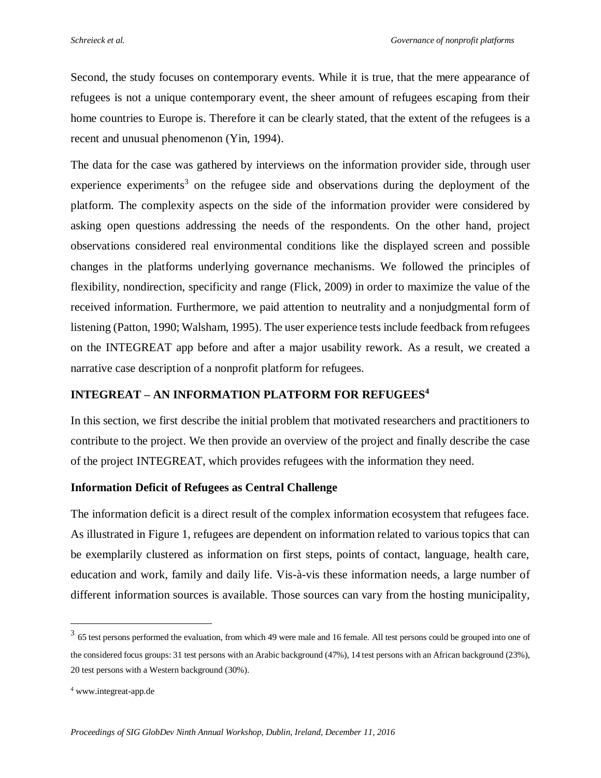Second, the study focuses on contemporary events. While it is true, that the mere appearance of refugees is not a unique contemporary event, the sheer amount of refugees escaping from their home countries to Europe is. Therefore it can be clearly stated, that the extent of the refugees is a recent and unusual phenomenon (Yin, 1994).

The data for the case was gathered by interviews on the information provider side, through user experience experiments<sup>3</sup> on the refugee side and observations during the deployment of the platform. The complexity aspects on the side of the information provider were considered by asking open questions addressing the needs of the respondents. On the other hand, project observations considered real environmental conditions like the displayed screen and possible changes in the platforms underlying governance mechanisms. We followed the principles of flexibility, nondirection, specificity and range (Flick, 2009) in order to maximize the value of the received information. Furthermore, we paid attention to neutrality and a nonjudgmental form of listening (Patton, 1990; Walsham, 1995). The user experience tests include feedback from refugees on the INTEGREAT app before and after a major usability rework. As a result, we created a narrative case description of a nonprofit platform for refugees.

# **INTEGREAT – AN INFORMATION PLATFORM FOR REFUGEES<sup>4</sup>**

In this section, we first describe the initial problem that motivated researchers and practitioners to contribute to the project. We then provide an overview of the project and finally describe the case of the project INTEGREAT, which provides refugees with the information they need.

## **Information Deficit of Refugees as Central Challenge**

The information deficit is a direct result of the complex information ecosystem that refugees face. As illustrated in [Figure 1,](#page-7-0) refugees are dependent on information related to various topics that can be exemplarily clustered as information on first steps, points of contact, language, health care, education and work, family and daily life. Vis-à-vis these information needs, a large number of different information sources is available. Those sources can vary from the hosting municipality,

 $\overline{a}$ 

 $3\,$  65 test persons performed the evaluation, from which 49 were male and 16 female. All test persons could be grouped into one of the considered focus groups: 31 test persons with an Arabic background (47%), 14 test persons with an African background (23%), 20 test persons with a Western background (30%).

<sup>4</sup> www.integreat-app.de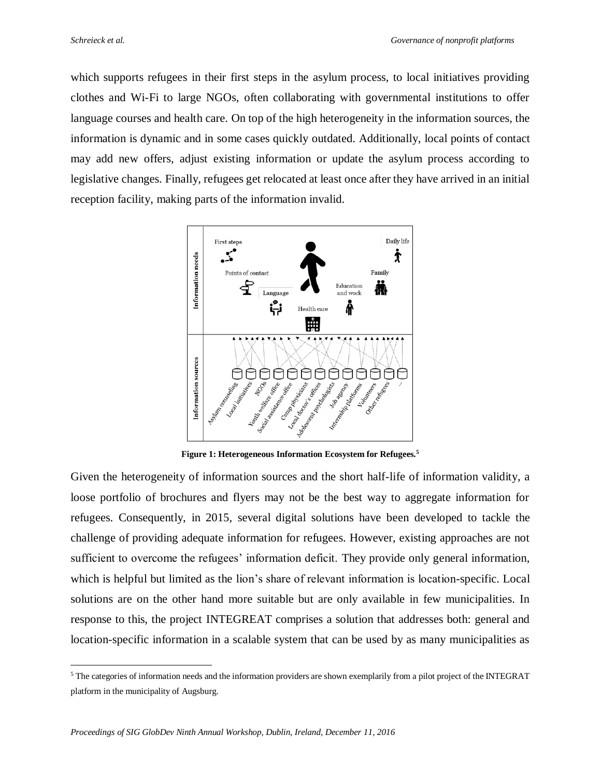$\overline{a}$ 

which supports refugees in their first steps in the asylum process, to local initiatives providing clothes and Wi-Fi to large NGOs, often collaborating with governmental institutions to offer language courses and health care. On top of the high heterogeneity in the information sources, the information is dynamic and in some cases quickly outdated. Additionally, local points of contact may add new offers, adjust existing information or update the asylum process according to legislative changes. Finally, refugees get relocated at least once after they have arrived in an initial reception facility, making parts of the information invalid.



**Figure 1: Heterogeneous Information Ecosystem for Refugees.<sup>5</sup>**

<span id="page-7-0"></span>Given the heterogeneity of information sources and the short half-life of information validity, a loose portfolio of brochures and flyers may not be the best way to aggregate information for refugees. Consequently, in 2015, several digital solutions have been developed to tackle the challenge of providing adequate information for refugees. However, existing approaches are not sufficient to overcome the refugees' information deficit. They provide only general information, which is helpful but limited as the lion's share of relevant information is location-specific. Local solutions are on the other hand more suitable but are only available in few municipalities. In response to this, the project INTEGREAT comprises a solution that addresses both: general and location-specific information in a scalable system that can be used by as many municipalities as

<sup>5</sup> The categories of information needs and the information providers are shown exemplarily from a pilot project of the INTEGRAT platform in the municipality of Augsburg.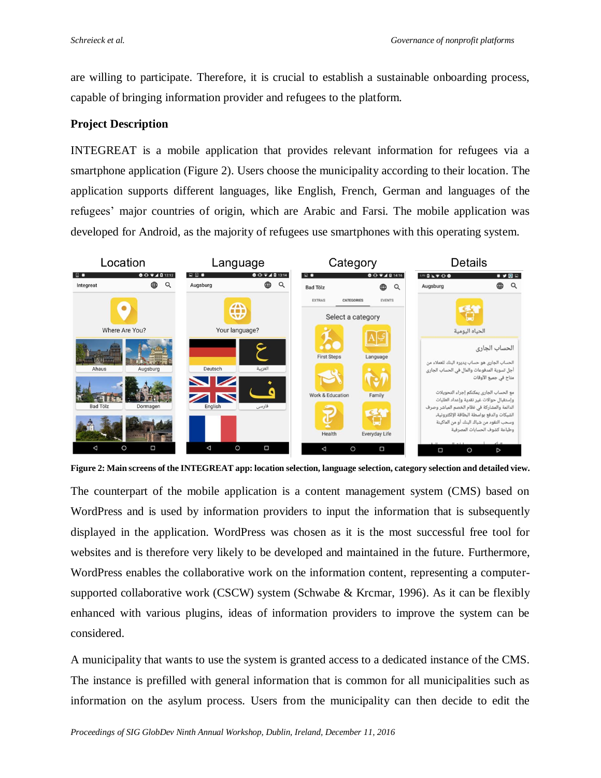are willing to participate. Therefore, it is crucial to establish a sustainable onboarding process, capable of bringing information provider and refugees to the platform.

## **Project Description**

INTEGREAT is a mobile application that provides relevant information for refugees via a smartphone application [\(Figure 2\)](#page-8-0). Users choose the municipality according to their location. The application supports different languages, like English, French, German and languages of the refugees' major countries of origin, which are Arabic and Farsi. The mobile application was developed for Android, as the majority of refugees use smartphones with this operating system.



<span id="page-8-0"></span>**Figure 2: Main screens of the INTEGREAT app: location selection, language selection, category selection and detailed view.**

The counterpart of the mobile application is a content management system (CMS) based on WordPress and is used by information providers to input the information that is subsequently displayed in the application. WordPress was chosen as it is the most successful free tool for websites and is therefore very likely to be developed and maintained in the future. Furthermore, WordPress enables the collaborative work on the information content, representing a computersupported collaborative work (CSCW) system (Schwabe & Krcmar, 1996). As it can be flexibly enhanced with various plugins, ideas of information providers to improve the system can be considered.

A municipality that wants to use the system is granted access to a dedicated instance of the CMS. The instance is prefilled with general information that is common for all municipalities such as information on the asylum process. Users from the municipality can then decide to edit the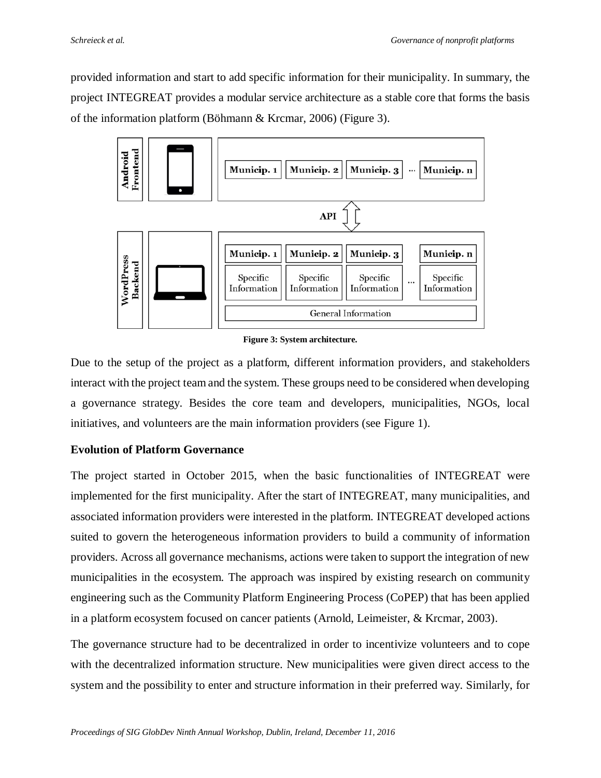provided information and start to add specific information for their municipality. In summary, the project INTEGREAT provides a modular service architecture as a stable core that forms the basis of the information platform (Böhmann & Krcmar, 2006) [\(Figure 3\)](#page-9-0).



**Figure 3: System architecture.**

<span id="page-9-0"></span>Due to the setup of the project as a platform, different information providers, and stakeholders interact with the project team and the system. These groups need to be considered when developing a governance strategy. Besides the core team and developers, municipalities, NGOs, local initiatives, and volunteers are the main information providers (see [Figure 1\)](#page-7-0).

## **Evolution of Platform Governance**

The project started in October 2015, when the basic functionalities of INTEGREAT were implemented for the first municipality. After the start of INTEGREAT, many municipalities, and associated information providers were interested in the platform. INTEGREAT developed actions suited to govern the heterogeneous information providers to build a community of information providers. Across all governance mechanisms, actions were taken to support the integration of new municipalities in the ecosystem. The approach was inspired by existing research on community engineering such as the Community Platform Engineering Process (CoPEP) that has been applied in a platform ecosystem focused on cancer patients (Arnold, Leimeister, & Krcmar, 2003).

The governance structure had to be decentralized in order to incentivize volunteers and to cope with the decentralized information structure. New municipalities were given direct access to the system and the possibility to enter and structure information in their preferred way. Similarly, for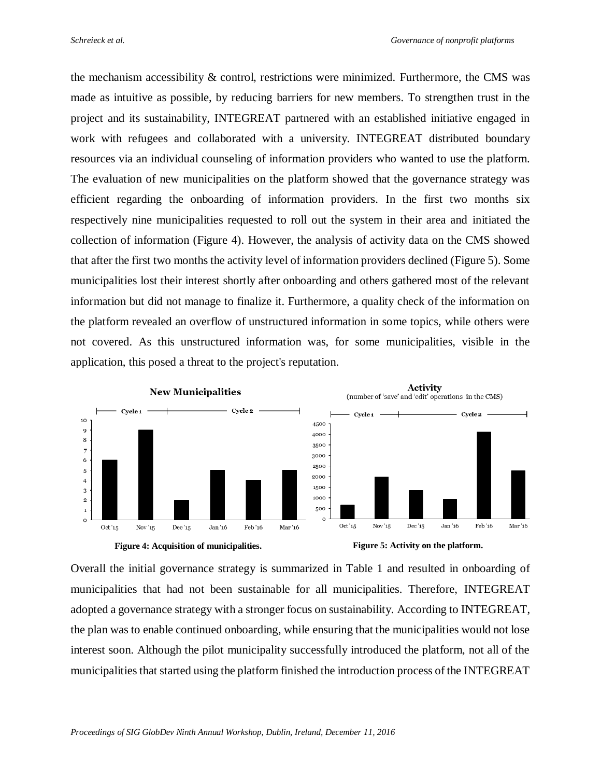the mechanism accessibility  $&$  control, restrictions were minimized. Furthermore, the CMS was made as intuitive as possible, by reducing barriers for new members. To strengthen trust in the project and its sustainability, INTEGREAT partnered with an established initiative engaged in work with refugees and collaborated with a university. INTEGREAT distributed boundary resources via an individual counseling of information providers who wanted to use the platform. The evaluation of new municipalities on the platform showed that the governance strategy was efficient regarding the onboarding of information providers. In the first two months six respectively nine municipalities requested to roll out the system in their area and initiated the collection of information [\(Figure 4\)](#page-10-0). However, the analysis of activity data on the CMS showed that after the first two months the activity level of information providers declined [\(Figure 5\)](#page-10-1). Some municipalities lost their interest shortly after onboarding and others gathered most of the relevant information but did not manage to finalize it. Furthermore, a quality check of the information on the platform revealed an overflow of unstructured information in some topics, while others were not covered. As this unstructured information was, for some municipalities, visible in the application, this posed a threat to the project's reputation.



<span id="page-10-1"></span><span id="page-10-0"></span>Overall the initial governance strategy is summarized in Table 1 and resulted in onboarding of municipalities that had not been sustainable for all municipalities. Therefore, INTEGREAT adopted a governance strategy with a stronger focus on sustainability. According to INTEGREAT, the plan was to enable continued onboarding, while ensuring that the municipalities would not lose interest soon. Although the pilot municipality successfully introduced the platform, not all of the municipalities that started using the platform finished the introduction process of the INTEGREAT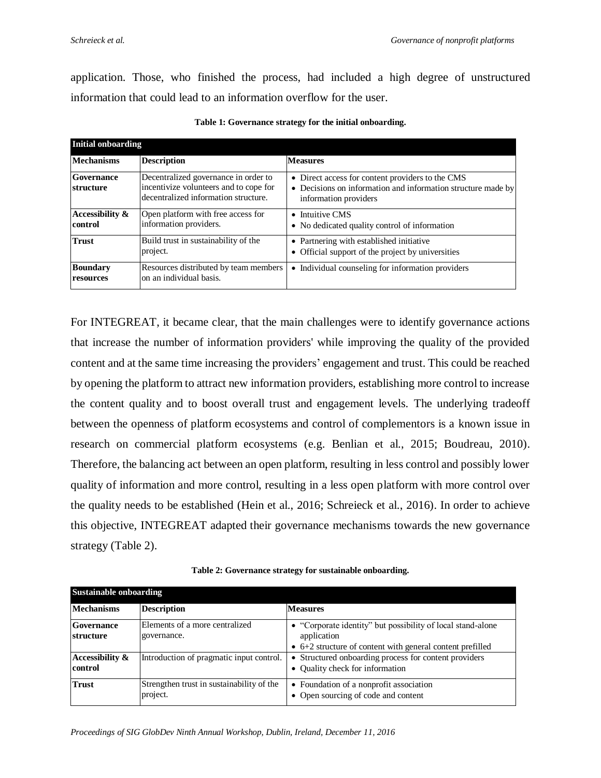application. Those, who finished the process, had included a high degree of unstructured information that could lead to an information overflow for the user.

| <b>Initial onboarding</b>    |                                                                                                                        |                                                                                                                                           |  |
|------------------------------|------------------------------------------------------------------------------------------------------------------------|-------------------------------------------------------------------------------------------------------------------------------------------|--|
| <b>Mechanisms</b>            | <b>Description</b>                                                                                                     | <b>Measures</b>                                                                                                                           |  |
| Governance<br>structure      | Decentralized governance in order to<br>incentivize volunteers and to cope for<br>decentralized information structure. | • Direct access for content providers to the CMS<br>• Decisions on information and information structure made by<br>information providers |  |
| Accessibility &<br>control   | Open platform with free access for<br>information providers.                                                           | $\bullet$ Intuitive CMS<br>• No dedicated quality control of information                                                                  |  |
| <b>Trust</b>                 | Build trust in sustainability of the<br>project.                                                                       | • Partnering with established initiative<br>Official support of the project by universities<br>٠                                          |  |
| <b>Boundary</b><br>resources | Resources distributed by team members<br>on an individual basis.                                                       | • Individual counseling for information providers                                                                                         |  |

|  |  |  |  | Table 1: Governance strategy for the initial onboarding. |
|--|--|--|--|----------------------------------------------------------|
|--|--|--|--|----------------------------------------------------------|

For INTEGREAT, it became clear, that the main challenges were to identify governance actions that increase the number of information providers' while improving the quality of the provided content and at the same time increasing the providers' engagement and trust. This could be reached by opening the platform to attract new information providers, establishing more control to increase the content quality and to boost overall trust and engagement levels. The underlying tradeoff between the openness of platform ecosystems and control of complementors is a known issue in research on commercial platform ecosystems (e.g. Benlian et al., 2015; Boudreau, 2010). Therefore, the balancing act between an open platform, resulting in less control and possibly lower quality of information and more control, resulting in a less open platform with more control over the quality needs to be established (Hein et al., 2016; Schreieck et al., 2016). In order to achieve this objective, INTEGREAT adapted their governance mechanisms towards the new governance strategy (Table 2).

| Table 2: Governance strategy for sustainable onboarding. |  |
|----------------------------------------------------------|--|
|----------------------------------------------------------|--|

| <b>Sustainable onboarding</b> |                                                       |                                                                                                                                         |  |
|-------------------------------|-------------------------------------------------------|-----------------------------------------------------------------------------------------------------------------------------------------|--|
| <b>Mechanisms</b>             | <b>Description</b>                                    | <b>Measures</b>                                                                                                                         |  |
| Governance<br>structure       | Elements of a more centralized<br>governance.         | • "Corporate identity" but possibility of local stand-alone<br>application<br>• 6+2 structure of content with general content prefilled |  |
| Accessibility &<br>control    | Introduction of pragmatic input control.              | • Structured onboarding process for content providers<br>• Quality check for information                                                |  |
| <b>Trust</b>                  | Strengthen trust in sustainability of the<br>project. | • Foundation of a nonprofit association<br>• Open sourcing of code and content                                                          |  |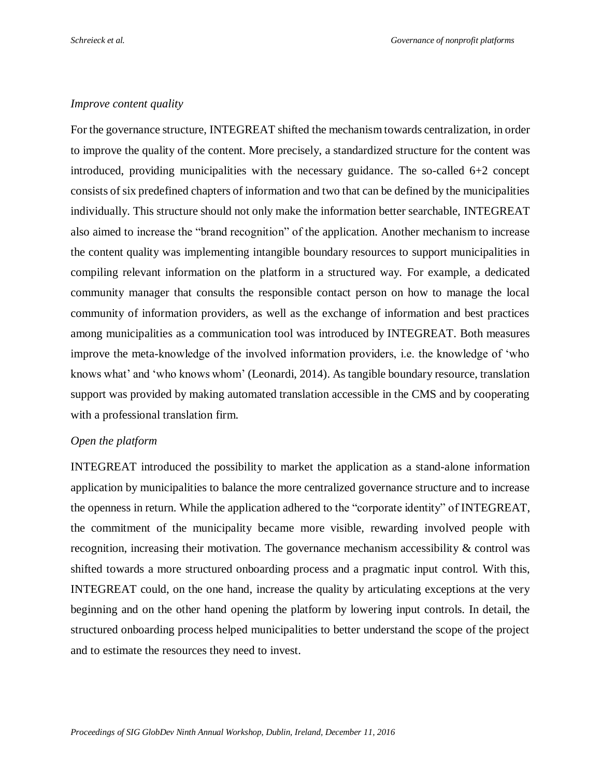#### *Improve content quality*

For the governance structure, INTEGREAT shifted the mechanism towards centralization, in order to improve the quality of the content. More precisely, a standardized structure for the content was introduced, providing municipalities with the necessary guidance. The so-called 6+2 concept consists of six predefined chapters of information and two that can be defined by the municipalities individually. This structure should not only make the information better searchable, INTEGREAT also aimed to increase the "brand recognition" of the application. Another mechanism to increase the content quality was implementing intangible boundary resources to support municipalities in compiling relevant information on the platform in a structured way. For example, a dedicated community manager that consults the responsible contact person on how to manage the local community of information providers, as well as the exchange of information and best practices among municipalities as a communication tool was introduced by INTEGREAT. Both measures improve the meta-knowledge of the involved information providers, i.e. the knowledge of 'who knows what' and 'who knows whom' (Leonardi, 2014). As tangible boundary resource, translation support was provided by making automated translation accessible in the CMS and by cooperating with a professional translation firm.

#### *Open the platform*

INTEGREAT introduced the possibility to market the application as a stand-alone information application by municipalities to balance the more centralized governance structure and to increase the openness in return. While the application adhered to the "corporate identity" of INTEGREAT, the commitment of the municipality became more visible, rewarding involved people with recognition, increasing their motivation. The governance mechanism accessibility & control was shifted towards a more structured onboarding process and a pragmatic input control. With this, INTEGREAT could, on the one hand, increase the quality by articulating exceptions at the very beginning and on the other hand opening the platform by lowering input controls. In detail, the structured onboarding process helped municipalities to better understand the scope of the project and to estimate the resources they need to invest.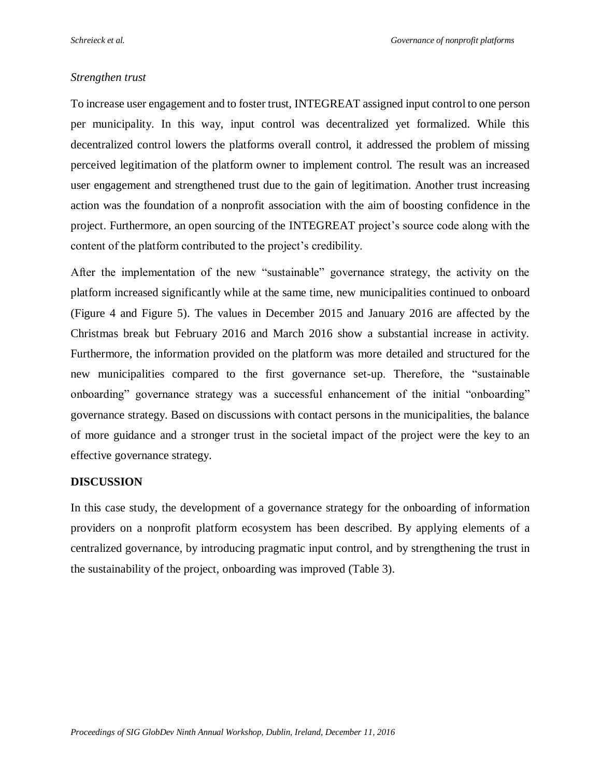## *Strengthen trust*

To increase user engagement and to foster trust, INTEGREAT assigned input control to one person per municipality. In this way, input control was decentralized yet formalized. While this decentralized control lowers the platforms overall control, it addressed the problem of missing perceived legitimation of the platform owner to implement control. The result was an increased user engagement and strengthened trust due to the gain of legitimation. Another trust increasing action was the foundation of a nonprofit association with the aim of boosting confidence in the project. Furthermore, an open sourcing of the INTEGREAT project's source code along with the content of the platform contributed to the project's credibility.

After the implementation of the new "sustainable" governance strategy, the activity on the platform increased significantly while at the same time, new municipalities continued to onboard [\(Figure 4](#page-10-0) and [Figure 5\)](#page-10-1). The values in December 2015 and January 2016 are affected by the Christmas break but February 2016 and March 2016 show a substantial increase in activity. Furthermore, the information provided on the platform was more detailed and structured for the new municipalities compared to the first governance set-up. Therefore, the "sustainable onboarding" governance strategy was a successful enhancement of the initial "onboarding" governance strategy. Based on discussions with contact persons in the municipalities, the balance of more guidance and a stronger trust in the societal impact of the project were the key to an effective governance strategy.

## **DISCUSSION**

In this case study, the development of a governance strategy for the onboarding of information providers on a nonprofit platform ecosystem has been described. By applying elements of a centralized governance, by introducing pragmatic input control, and by strengthening the trust in the sustainability of the project, onboarding was improved (Table 3).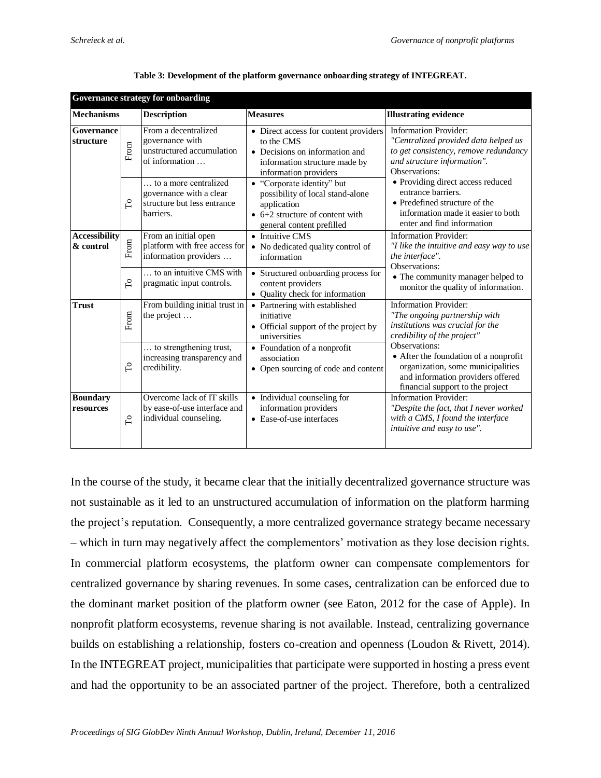| <b>Governance strategy for onboarding</b> |            |                                                                                              |                                                                                                                                                       |                                                                                                                                                                      |
|-------------------------------------------|------------|----------------------------------------------------------------------------------------------|-------------------------------------------------------------------------------------------------------------------------------------------------------|----------------------------------------------------------------------------------------------------------------------------------------------------------------------|
| <b>Mechanisms</b>                         |            | <b>Description</b>                                                                           | <b>Measures</b>                                                                                                                                       | <b>Illustrating evidence</b>                                                                                                                                         |
| Governance<br>structure                   | From       | From a decentralized<br>governance with<br>unstructured accumulation<br>of information       | • Direct access for content providers<br>to the CMS<br>• Decisions on information and<br>information structure made by<br>information providers       | <b>Information Provider:</b><br>"Centralized provided data helped us<br>to get consistency, remove redundancy<br>and structure information".<br>Observations:        |
|                                           | СO         | to a more centralized<br>governance with a clear<br>structure but less entrance<br>barriers. | • "Corporate identity" but<br>possibility of local stand-alone<br>application<br>$\bullet$ 6+2 structure of content with<br>general content prefilled | • Providing direct access reduced<br>entrance barriers.<br>• Predefined structure of the<br>information made it easier to both<br>enter and find information         |
| <b>Accessibility</b><br>& control         | From       | From an initial open<br>platform with free access for<br>information providers               | • Intuitive CMS<br>• No dedicated quality control of<br>information                                                                                   | <b>Information Provider:</b><br>"I like the intuitive and easy way to use<br>the interface".<br>Observations:                                                        |
|                                           | $\Gamma$   | to an intuitive CMS with<br>pragmatic input controls.                                        | • Structured onboarding process for<br>content providers<br>Quality check for information<br>$\bullet$                                                | • The community manager helped to<br>monitor the quality of information.                                                                                             |
| <b>Trust</b>                              | From       | From building initial trust in<br>the project                                                | • Partnering with established<br>initiative<br>• Official support of the project by<br>universities                                                   | <b>Information Provider:</b><br>"The ongoing partnership with<br>institutions was crucial for the<br>credibility of the project"                                     |
|                                           | $\Gamma$   | to strengthening trust,<br>increasing transparency and<br>credibility.                       | • Foundation of a nonprofit<br>association<br>• Open sourcing of code and content                                                                     | Observations:<br>• After the foundation of a nonprofit<br>organization, some municipalities<br>and information providers offered<br>financial support to the project |
| <b>Boundary</b><br>resources              | $\Gamma$ o | Overcome lack of IT skills<br>by ease-of-use interface and<br>individual counseling.         | • Individual counseling for<br>information providers<br>• Ease-of-use interfaces                                                                      | <b>Information Provider:</b><br>"Despite the fact, that I never worked<br>with a CMS, I found the interface<br>intuitive and easy to use".                           |

| Table 3: Development of the platform governance onboarding strategy of INTEGREAT. |  |  |
|-----------------------------------------------------------------------------------|--|--|
|                                                                                   |  |  |

In the course of the study, it became clear that the initially decentralized governance structure was not sustainable as it led to an unstructured accumulation of information on the platform harming the project's reputation. Consequently, a more centralized governance strategy became necessary – which in turn may negatively affect the complementors' motivation as they lose decision rights. In commercial platform ecosystems, the platform owner can compensate complementors for centralized governance by sharing revenues. In some cases, centralization can be enforced due to the dominant market position of the platform owner (see Eaton, 2012 for the case of Apple). In nonprofit platform ecosystems, revenue sharing is not available. Instead, centralizing governance builds on establishing a relationship, fosters co-creation and openness (Loudon & Rivett, 2014). In the INTEGREAT project, municipalities that participate were supported in hosting a press event and had the opportunity to be an associated partner of the project. Therefore, both a centralized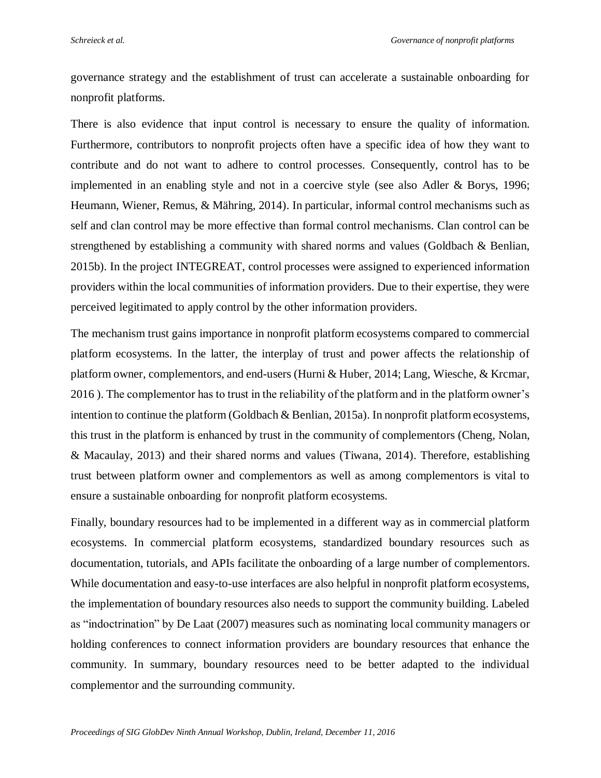governance strategy and the establishment of trust can accelerate a sustainable onboarding for nonprofit platforms.

There is also evidence that input control is necessary to ensure the quality of information. Furthermore, contributors to nonprofit projects often have a specific idea of how they want to contribute and do not want to adhere to control processes. Consequently, control has to be implemented in an enabling style and not in a coercive style (see also Adler & Borys, 1996; Heumann, Wiener, Remus, & Mähring, 2014). In particular, informal control mechanisms such as self and clan control may be more effective than formal control mechanisms. Clan control can be strengthened by establishing a community with shared norms and values (Goldbach & Benlian, 2015b). In the project INTEGREAT, control processes were assigned to experienced information providers within the local communities of information providers. Due to their expertise, they were perceived legitimated to apply control by the other information providers.

The mechanism trust gains importance in nonprofit platform ecosystems compared to commercial platform ecosystems. In the latter, the interplay of trust and power affects the relationship of platform owner, complementors, and end-users (Hurni & Huber, 2014; Lang, Wiesche, & Krcmar, 2016 ). The complementor has to trust in the reliability of the platform and in the platform owner's intention to continue the platform (Goldbach & Benlian, 2015a). In nonprofit platform ecosystems, this trust in the platform is enhanced by trust in the community of complementors (Cheng, Nolan, & Macaulay, 2013) and their shared norms and values (Tiwana, 2014). Therefore, establishing trust between platform owner and complementors as well as among complementors is vital to ensure a sustainable onboarding for nonprofit platform ecosystems.

Finally, boundary resources had to be implemented in a different way as in commercial platform ecosystems. In commercial platform ecosystems, standardized boundary resources such as documentation, tutorials, and APIs facilitate the onboarding of a large number of complementors. While documentation and easy-to-use interfaces are also helpful in nonprofit platform ecosystems, the implementation of boundary resources also needs to support the community building. Labeled as "indoctrination" by De Laat (2007) measures such as nominating local community managers or holding conferences to connect information providers are boundary resources that enhance the community. In summary, boundary resources need to be better adapted to the individual complementor and the surrounding community.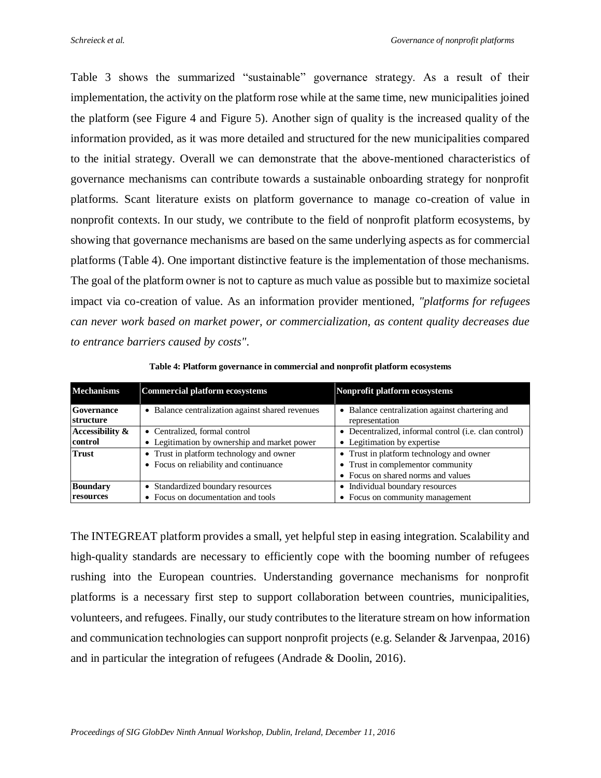Table 3 shows the summarized "sustainable" governance strategy. As a result of their implementation, the activity on the platform rose while at the same time, new municipalities joined the platform (see [Figure 4](#page-10-0) and [Figure 5\)](#page-10-1). Another sign of quality is the increased quality of the information provided, as it was more detailed and structured for the new municipalities compared to the initial strategy. Overall we can demonstrate that the above-mentioned characteristics of governance mechanisms can contribute towards a sustainable onboarding strategy for nonprofit platforms. Scant literature exists on platform governance to manage co-creation of value in nonprofit contexts. In our study, we contribute to the field of nonprofit platform ecosystems, by showing that governance mechanisms are based on the same underlying aspects as for commercial platforms [\(Table 4](#page-16-0)). One important distinctive feature is the implementation of those mechanisms. The goal of the platform owner is not to capture as much value as possible but to maximize societal impact via co-creation of value. As an information provider mentioned, *"platforms for refugees can never work based on market power, or commercialization, as content quality decreases due to entrance barriers caused by costs"*.

<span id="page-16-0"></span>

| <b>Mechanisms</b>                   | <b>Commercial platform ecosystems</b>                                              | Nonprofit platform ecosystems                                                                                       |
|-------------------------------------|------------------------------------------------------------------------------------|---------------------------------------------------------------------------------------------------------------------|
| Governance<br>structure             | • Balance centralization against shared revenues                                   | • Balance centralization against chartering and<br>representation                                                   |
| Accessibility &<br>control          | • Centralized, formal control<br>• Legitimation by ownership and market power      | • Decentralized, informal control (i.e. clan control)<br>• Legitimation by expertise                                |
| <b>Trust</b>                        | • Trust in platform technology and owner<br>• Focus on reliability and continuance | • Trust in platform technology and owner<br>• Trust in complementor community<br>• Focus on shared norms and values |
| <b>Boundary</b><br><b>resources</b> | • Standardized boundary resources<br>• Focus on documentation and tools            | • Individual boundary resources<br>• Focus on community management                                                  |

**Table 4: Platform governance in commercial and nonprofit platform ecosystems**

The INTEGREAT platform provides a small, yet helpful step in easing integration. Scalability and high-quality standards are necessary to efficiently cope with the booming number of refugees rushing into the European countries. Understanding governance mechanisms for nonprofit platforms is a necessary first step to support collaboration between countries, municipalities, volunteers, and refugees. Finally, our study contributes to the literature stream on how information and communication technologies can support nonprofit projects (e.g. Selander & Jarvenpaa, 2016) and in particular the integration of refugees (Andrade & Doolin, 2016).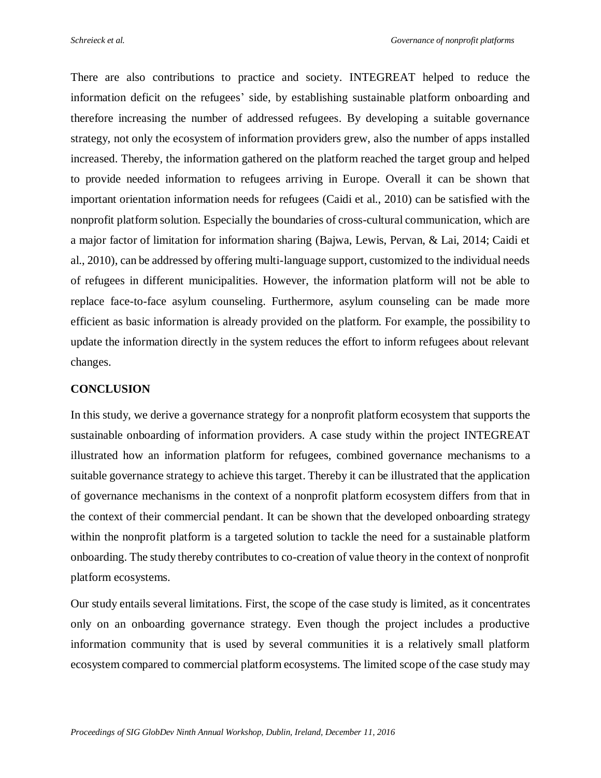There are also contributions to practice and society. INTEGREAT helped to reduce the information deficit on the refugees' side, by establishing sustainable platform onboarding and therefore increasing the number of addressed refugees. By developing a suitable governance strategy, not only the ecosystem of information providers grew, also the number of apps installed increased. Thereby, the information gathered on the platform reached the target group and helped to provide needed information to refugees arriving in Europe. Overall it can be shown that important orientation information needs for refugees (Caidi et al., 2010) can be satisfied with the nonprofit platform solution. Especially the boundaries of cross-cultural communication, which are a major factor of limitation for information sharing (Bajwa, Lewis, Pervan, & Lai, 2014; Caidi et al., 2010), can be addressed by offering multi-language support, customized to the individual needs of refugees in different municipalities. However, the information platform will not be able to replace face-to-face asylum counseling. Furthermore, asylum counseling can be made more efficient as basic information is already provided on the platform. For example, the possibility to update the information directly in the system reduces the effort to inform refugees about relevant changes.

#### **CONCLUSION**

In this study, we derive a governance strategy for a nonprofit platform ecosystem that supports the sustainable onboarding of information providers. A case study within the project INTEGREAT illustrated how an information platform for refugees, combined governance mechanisms to a suitable governance strategy to achieve this target. Thereby it can be illustrated that the application of governance mechanisms in the context of a nonprofit platform ecosystem differs from that in the context of their commercial pendant. It can be shown that the developed onboarding strategy within the nonprofit platform is a targeted solution to tackle the need for a sustainable platform onboarding. The study thereby contributes to co-creation of value theory in the context of nonprofit platform ecosystems.

Our study entails several limitations. First, the scope of the case study is limited, as it concentrates only on an onboarding governance strategy. Even though the project includes a productive information community that is used by several communities it is a relatively small platform ecosystem compared to commercial platform ecosystems. The limited scope of the case study may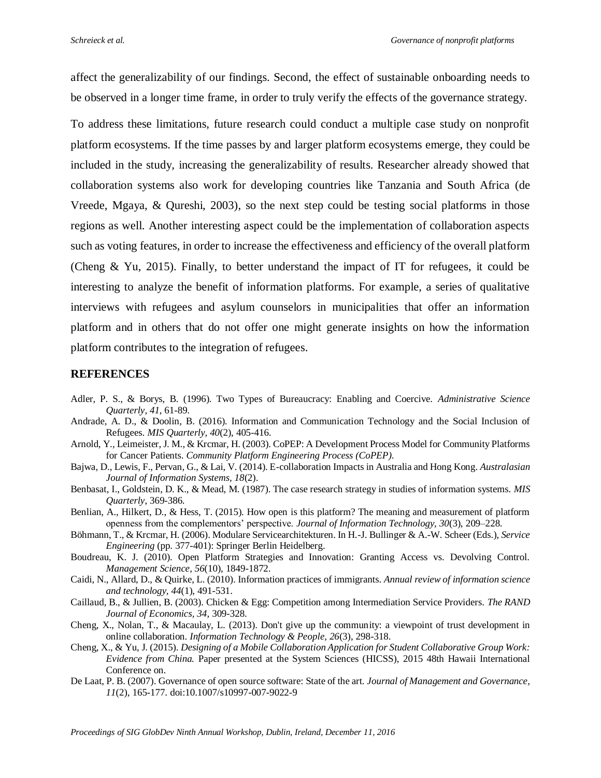affect the generalizability of our findings. Second, the effect of sustainable onboarding needs to be observed in a longer time frame, in order to truly verify the effects of the governance strategy.

To address these limitations, future research could conduct a multiple case study on nonprofit platform ecosystems. If the time passes by and larger platform ecosystems emerge, they could be included in the study, increasing the generalizability of results. Researcher already showed that collaboration systems also work for developing countries like Tanzania and South Africa (de Vreede, Mgaya, & Qureshi, 2003), so the next step could be testing social platforms in those regions as well. Another interesting aspect could be the implementation of collaboration aspects such as voting features, in order to increase the effectiveness and efficiency of the overall platform (Cheng & Yu, 2015). Finally, to better understand the impact of IT for refugees, it could be interesting to analyze the benefit of information platforms. For example, a series of qualitative interviews with refugees and asylum counselors in municipalities that offer an information platform and in others that do not offer one might generate insights on how the information platform contributes to the integration of refugees.

#### **REFERENCES**

- Adler, P. S., & Borys, B. (1996). Two Types of Bureaucracy: Enabling and Coercive. *Administrative Science Quarterly, 41*, 61-89.
- Andrade, A. D., & Doolin, B. (2016). Information and Communication Technology and the Social Inclusion of Refugees. *MIS Quarterly, 40*(2), 405-416.
- Arnold, Y., Leimeister, J. M., & Krcmar, H. (2003). CoPEP: A Development Process Model for Community Platforms for Cancer Patients. *Community Platform Engineering Process (CoPEP)*.
- Bajwa, D., Lewis, F., Pervan, G., & Lai, V. (2014). E-collaboration Impacts in Australia and Hong Kong. *Australasian Journal of Information Systems, 18*(2).
- Benbasat, I., Goldstein, D. K., & Mead, M. (1987). The case research strategy in studies of information systems. *MIS Quarterly*, 369-386.
- Benlian, A., Hilkert, D., & Hess, T. (2015). How open is this platform? The meaning and measurement of platform openness from the complementors' perspective. *Journal of Information Technology, 30*(3), 209–228.
- Böhmann, T., & Krcmar, H. (2006). Modulare Servicearchitekturen. In H.-J. Bullinger & A.-W. Scheer (Eds.), *Service Engineering* (pp. 377-401): Springer Berlin Heidelberg.
- Boudreau, K. J. (2010). Open Platform Strategies and Innovation: Granting Access vs. Devolving Control. *Management Science, 56*(10), 1849-1872.
- Caidi, N., Allard, D., & Quirke, L. (2010). Information practices of immigrants. *Annual review of information science and technology, 44*(1), 491-531.
- Caillaud, B., & Jullien, B. (2003). Chicken & Egg: Competition among Intermediation Service Providers. *The RAND Journal of Economics, 34*, 309-328.
- Cheng, X., Nolan, T., & Macaulay, L. (2013). Don't give up the community: a viewpoint of trust development in online collaboration. *Information Technology & People, 26*(3), 298-318.
- Cheng, X., & Yu, J. (2015). *Designing of a Mobile Collaboration Application for Student Collaborative Group Work: Evidence from China.* Paper presented at the System Sciences (HICSS), 2015 48th Hawaii International Conference on.
- De Laat, P. B. (2007). Governance of open source software: State of the art. *Journal of Management and Governance, 11*(2), 165-177. doi:10.1007/s10997-007-9022-9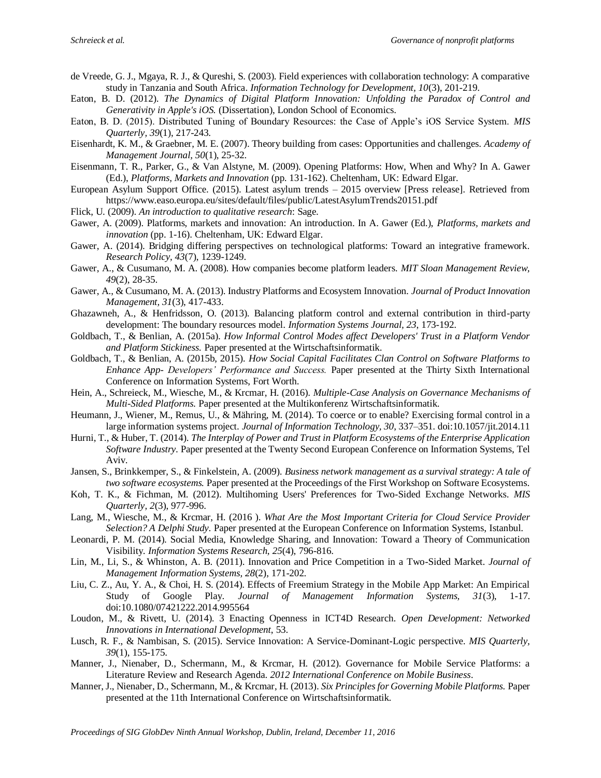- de Vreede, G. J., Mgaya, R. J., & Qureshi, S. (2003). Field experiences with collaboration technology: A comparative study in Tanzania and South Africa. *Information Technology for Development, 10*(3), 201-219.
- Eaton, B. D. (2012). *The Dynamics of Digital Platform Innovation: Unfolding the Paradox of Control and Generativity in Apple's iOS.* (Dissertation), London School of Economics.
- Eaton, B. D. (2015). Distributed Tuning of Boundary Resources: the Case of Apple's iOS Service System. *MIS Quarterly, 39*(1), 217-243.
- Eisenhardt, K. M., & Graebner, M. E. (2007). Theory building from cases: Opportunities and challenges. *Academy of Management Journal, 50*(1), 25-32.
- Eisenmann, T. R., Parker, G., & Van Alstyne, M. (2009). Opening Platforms: How, When and Why? In A. Gawer (Ed.), *Platforms, Markets and Innovation* (pp. 131-162). Cheltenham, UK: Edward Elgar.
- European Asylum Support Office. (2015). Latest asylum trends 2015 overview [Press release]. Retrieved from https://www.easo.europa.eu/sites/default/files/public/LatestAsylumTrends20151.pdf
- Flick, U. (2009). *An introduction to qualitative research*: Sage.
- Gawer, A. (2009). Platforms, markets and innovation: An introduction. In A. Gawer (Ed.), *Platforms, markets and innovation* (pp. 1-16). Cheltenham, UK: Edward Elgar.
- Gawer, A. (2014). Bridging differing perspectives on technological platforms: Toward an integrative framework. *Research Policy, 43*(7), 1239-1249.
- Gawer, A., & Cusumano, M. A. (2008). How companies become platform leaders. *MIT Sloan Management Review, 49*(2), 28-35.
- Gawer, A., & Cusumano, M. A. (2013). Industry Platforms and Ecosystem Innovation. *Journal of Product Innovation Management, 31*(3), 417-433.
- Ghazawneh, A., & Henfridsson, O. (2013). Balancing platform control and external contribution in third-party development: The boundary resources model. *Information Systems Journal, 23*, 173-192.
- Goldbach, T., & Benlian, A. (2015a). *How Informal Control Modes affect Developers' Trust in a Platform Vendor and Platform Stickiness.* Paper presented at the Wirtschaftsinformatik.
- Goldbach, T., & Benlian, A. (2015b, 2015). *How Social Capital Facilitates Clan Control on Software Platforms to Enhance App- Developers' Performance and Success.* Paper presented at the Thirty Sixth International Conference on Information Systems, Fort Worth.
- Hein, A., Schreieck, M., Wiesche, M., & Krcmar, H. (2016). *Multiple-Case Analysis on Governance Mechanisms of Multi-Sided Platforms.* Paper presented at the Multikonferenz Wirtschaftsinformatik.
- Heumann, J., Wiener, M., Remus, U., & Mähring, M. (2014). To coerce or to enable? Exercising formal control in a large information systems project. *Journal of Information Technology, 30*, 337–351. doi:10.1057/jit.2014.11
- Hurni, T., & Huber, T. (2014). *The Interplay of Power and Trust in Platform Ecosystems of the Enterprise Application Software Industry.* Paper presented at the Twenty Second European Conference on Information Systems, Tel Aviv.
- Jansen, S., Brinkkemper, S., & Finkelstein, A. (2009). *Business network management as a survival strategy: A tale of two software ecosystems.* Paper presented at the Proceedings of the First Workshop on Software Ecosystems.
- Koh, T. K., & Fichman, M. (2012). Multihoming Users' Preferences for Two-Sided Exchange Networks. *MIS Quarterly, 2*(3), 977-996.
- Lang, M., Wiesche, M., & Krcmar, H. (2016 ). *What Are the Most Important Criteria for Cloud Service Provider Selection? A Delphi Study.* Paper presented at the European Conference on Information Systems, Istanbul.
- Leonardi, P. M. (2014). Social Media, Knowledge Sharing, and Innovation: Toward a Theory of Communication Visibility. *Information Systems Research, 25*(4), 796-816.
- Lin, M., Li, S., & Whinston, A. B. (2011). Innovation and Price Competition in a Two-Sided Market. *Journal of Management Information Systems, 28*(2), 171-202.
- Liu, C. Z., Au, Y. A., & Choi, H. S. (2014). Effects of Freemium Strategy in the Mobile App Market: An Empirical Study of Google Play. *Journal of Management Information Systems, 31*(3), 1-17. doi:10.1080/07421222.2014.995564
- Loudon, M., & Rivett, U. (2014). 3 Enacting Openness in ICT4D Research. *Open Development: Networked Innovations in International Development*, 53.
- Lusch, R. F., & Nambisan, S. (2015). Service Innovation: A Service-Dominant-Logic perspective. *MIS Quarterly, 39*(1), 155-175.
- Manner, J., Nienaber, D., Schermann, M., & Krcmar, H. (2012). Governance for Mobile Service Platforms: a Literature Review and Research Agenda. *2012 International Conference on Mobile Business*.
- Manner, J., Nienaber, D., Schermann, M., & Krcmar, H. (2013). *Six Principles for Governing Mobile Platforms.* Paper presented at the 11th International Conference on Wirtschaftsinformatik.